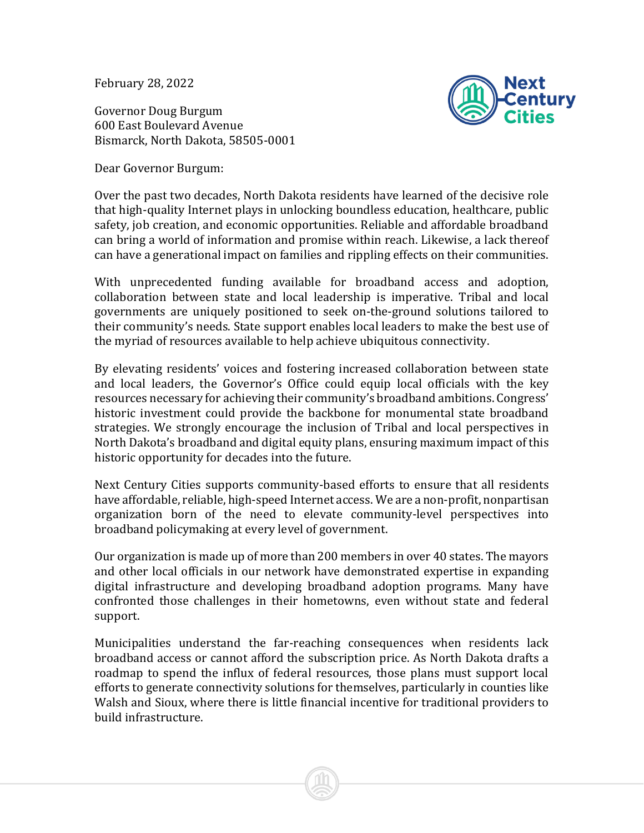February 28, 2022

Governor Doug Burgum 600 East Boulevard Avenue Bismarck, North Dakota, 58505-0001



Dear Governor Burgum:

Over the past two decades, North Dakota residents have learned of the decisive role that high-quality Internet plays in unlocking boundless education, healthcare, public safety, job creation, and economic opportunities. Reliable and affordable broadband can bring a world of information and promise within reach. Likewise, a lack thereof can have a generational impact on families and rippling effects on their communities.

With unprecedented funding available for broadband access and adoption, collaboration between state and local leadership is imperative. Tribal and local governments are uniquely positioned to seek on-the-ground solutions tailored to their community's needs. State support enables local leaders to make the best use of the myriad of resources available to help achieve ubiquitous connectivity.

By elevating residents' voices and fostering increased collaboration between state and local leaders, the Governor's Office could equip local officials with the key resources necessary for achieving their community's broadband ambitions. Congress' historic investment could provide the backbone for monumental state broadband strategies. We strongly encourage the inclusion of Tribal and local perspectives in North Dakota's broadband and digital equity plans, ensuring maximum impact of this historic opportunity for decades into the future.

Next Century Cities supports community-based efforts to ensure that all residents have affordable, reliable, high-speed Internet access. We are a non-profit, nonpartisan organization born of the need to elevate community-level perspectives into broadband policymaking at every level of government.

Our organization is made up of more than 200 members in over 40 states. The mayors and other local officials in our network have demonstrated expertise in expanding digital infrastructure and developing broadband adoption programs. Many have confronted those challenges in their hometowns, even without state and federal support.

Municipalities understand the far-reaching consequences when residents lack broadband access or cannot afford the subscription price. As North Dakota drafts a roadmap to spend the influx of federal resources, those plans must support local efforts to generate connectivity solutions for themselves, particularly in counties like Walsh and Sioux, where there is little financial incentive for traditional providers to build infrastructure.